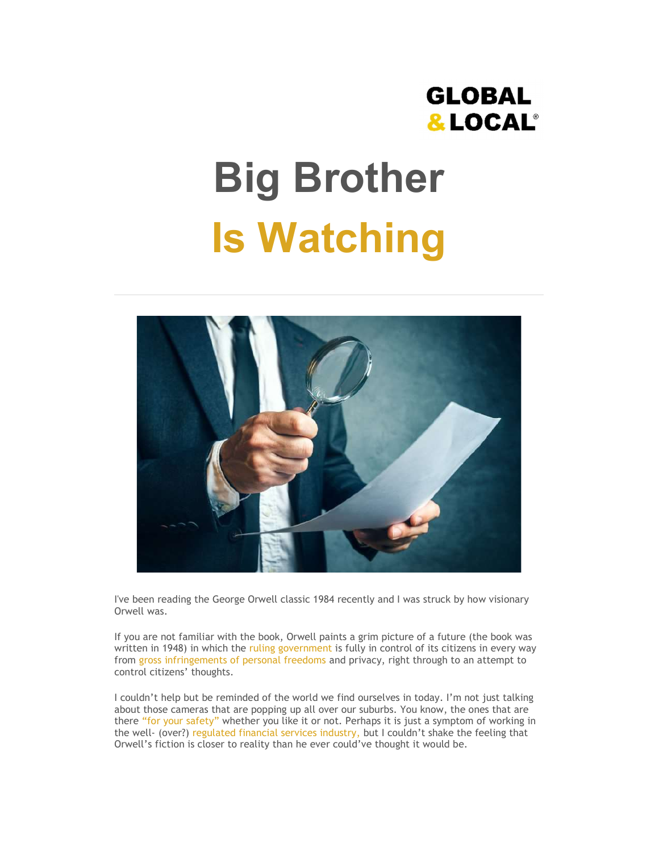# **GLOBAL** & LOCAL®

# Big Brother Is Watching



I've been reading the George Orwell classic 1984 recently and I was struck by how visionary Orwell was.

If you are not familiar with the book, Orwell paints a grim picture of a future (the book was written in 1948) in which the ruling government is fully in control of its citizens in every way from gross infringements of personal freedoms and privacy, right through to an attempt to control citizens' thoughts.

I couldn't help but be reminded of the world we find ourselves in today. I'm not just talking about those cameras that are popping up all over our suburbs. You know, the ones that are there "for your safety" whether you like it or not. Perhaps it is just a symptom of working in the well- (over?) regulated financial services industry, but I couldn't shake the feeling that Orwell's fiction is closer to reality than he ever could've thought it would be.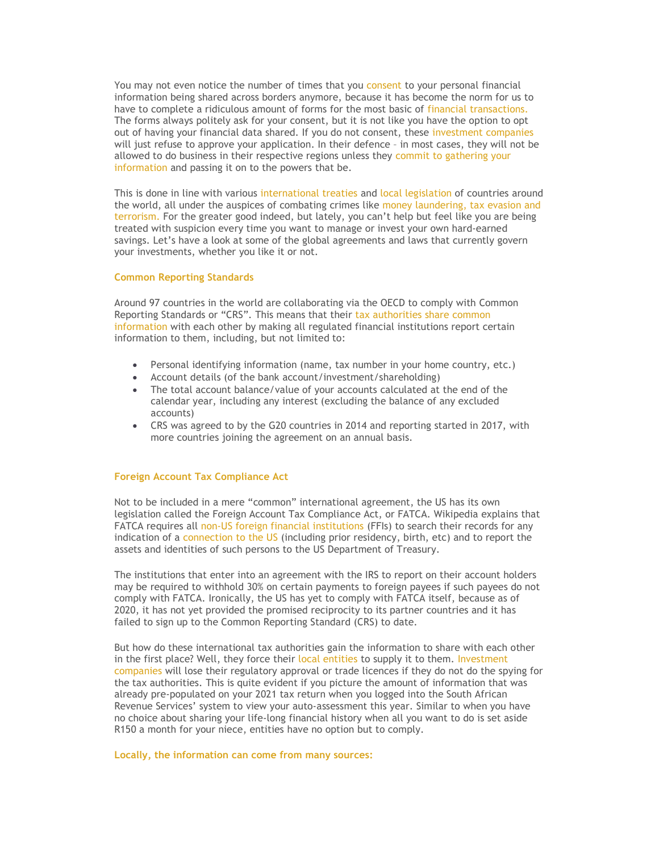You may not even notice the number of times that you consent to your personal financial information being shared across borders anymore, because it has become the norm for us to have to complete a ridiculous amount of forms for the most basic of financial transactions. The forms always politely ask for your consent, but it is not like you have the option to opt out of having your financial data shared. If you do not consent, these investment companies will just refuse to approve your application. In their defence – in most cases, they will not be allowed to do business in their respective regions unless they commit to gathering your information and passing it on to the powers that be.

This is done in line with various international treaties and local legislation of countries around the world, all under the auspices of combating crimes like money laundering, tax evasion and terrorism. For the greater good indeed, but lately, you can't help but feel like you are being treated with suspicion every time you want to manage or invest your own hard-earned savings. Let's have a look at some of the global agreements and laws that currently govern your investments, whether you like it or not.

## Common Reporting Standards

Around 97 countries in the world are collaborating via the OECD to comply with Common Reporting Standards or "CRS". This means that their tax authorities share common information with each other by making all regulated financial institutions report certain information to them, including, but not limited to:

- Personal identifying information (name, tax number in your home country, etc.)
- Account details (of the bank account/investment/shareholding)
- The total account balance/value of your accounts calculated at the end of the calendar year, including any interest (excluding the balance of any excluded accounts)
- CRS was agreed to by the G20 countries in 2014 and reporting started in 2017, with more countries joining the agreement on an annual basis.

#### Foreign Account Tax Compliance Act

Not to be included in a mere "common" international agreement, the US has its own legislation called the Foreign Account Tax Compliance Act, or FATCA. Wikipedia explains that FATCA requires all non-US foreign financial institutions (FFIs) to search their records for any indication of a connection to the US (including prior residency, birth, etc) and to report the assets and identities of such persons to the US Department of Treasury.

The institutions that enter into an agreement with the IRS to report on their account holders may be required to withhold 30% on certain payments to foreign payees if such payees do not comply with FATCA. Ironically, the US has yet to comply with FATCA itself, because as of 2020, it has not yet provided the promised reciprocity to its partner countries and it has failed to sign up to the Common Reporting Standard (CRS) to date.

But how do these international tax authorities gain the information to share with each other in the first place? Well, they force their local entities to supply it to them. Investment companies will lose their regulatory approval or trade licences if they do not do the spying for the tax authorities. This is quite evident if you picture the amount of information that was already pre-populated on your 2021 tax return when you logged into the South African Revenue Services' system to view your auto-assessment this year. Similar to when you have no choice about sharing your life-long financial history when all you want to do is set aside R150 a month for your niece, entities have no option but to comply.

### Locally, the information can come from many sources: